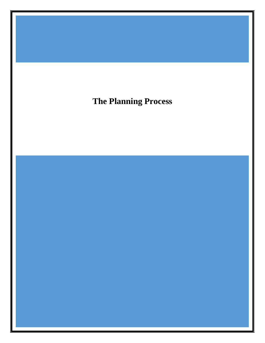**The Planning Process**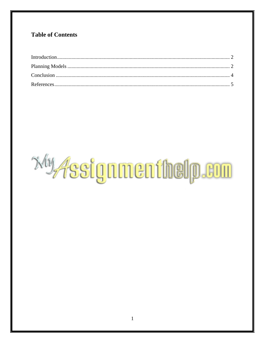# **Table of Contents**

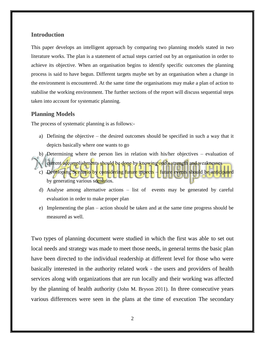### <span id="page-2-0"></span>**Introduction**

This paper develops an intelligent approach by comparing two planning models stated in two literature works. The plan is a statement of actual steps carried out by an organisation in order to achieve its objective. When an organisation begins to identify specific outcomes the planning process is said to have begun. Different targets maybe set by an organisation when a change in the environment is encountered. At the same time the organisations may make a plan of action to stabilise the working environment. The further sections of the report will discuss sequential steps taken into account for systematic planning.

#### <span id="page-2-1"></span>**Planning Models**

The process of systematic planning is as follows:-

- a) Defining the objective the desired outcomes should be specified in such a way that it depicts basically where one wants to go
- b) Determining where the person lies in relation with his/her objectives evaluation of
- current accomplishments should be done by knowing one's strength and weaknesses
- c) Developing Scenario by considering future aspects future events should be anticipated by generating various scenarios.
- d) Analyse among alternative actions list of events may be generated by careful evaluation in order to make proper plan
- e) Implementing the plan action should be taken and at the same time progress should be measured as well.

Two types of planning document were studied in which the first was able to set out local needs and strategy was made to meet those needs, in general terms the basic plan have been directed to the individual readership at different level for those who were basically interested in the authority related work - the users and providers of health services along with organizations that are run locally and their working was affected by the planning of health authority (John M. Bryson 2011). In three consecutive years various differences were seen in the plans at the time of execution The secondary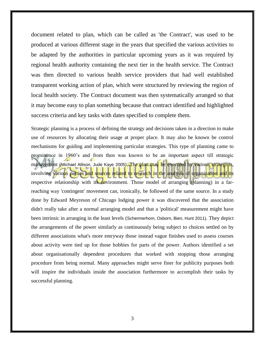document related to plan, which can be called as 'the Contract', was used to be produced at various different stage in the years that specified the various activities to be adapted by the authorities in particular upcoming years as it was required by regional health authority containing the next tier in the health service. The Contract was then directed to various health service providers that had well established transparent working action of plan, which were structured by reviewing the region of local health society. The Contract document was then systematically arranged so that it may become easy to plan something because that contract identified and highlighted success criteria and key tasks with dates specified to complete them.

Strategic planning is a process of defining the strategy and decisions taken in a direction to make use of resources by allocating their usage at proper place. It may also be known be control mechanisms for guiding and implementing particular strategies. This type of planning came to prominence in 1960's and from then was known to be an important aspect till strategic management (Michael Allison, Jude Kaye 2005). The plan may be executed by various strategists, involving various parties and sources related to research in the analysis of organization and its respective relationship with its environment. Those model of arranging  $(\rho \text{lanning})$  in a farreaching way 'contingent' movement can, ironically, be followed of the same source. In a study done by Edward Meyreson of Chicago lodging power it was discovered that the association didn't really take after a normal arranging model and that a 'political' measurement might have been intrinsic in arranging in the least levels (Schermerhorn, Osborn, Bien, Hunt 2011). They depict the arrangements of the power similarly as continuously being subject to choices settled on by different associations what's more entryway those instead vague finishes used to assess courses about activity were tied up for those hobbies for parts of the power. Authors identified a set about organisationally dependent procedures that worked with stopping those arranging procedure from being normal. Many approaches might serve finer for publicity purposes both will inspire the individuals inside the association furthermore to accomplish their tasks by successful planning.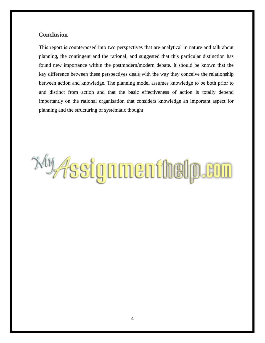## <span id="page-4-0"></span> **Conclusion**

This report is counterposed into two perspectives that are analytical in nature and talk about planning, the contingent and the rational, and suggested that this particular distinction has found new importance within the postmodern/modern debate. It should be known that the key difference between these perspectives deals with the way they conceive the relationship between action and knowledge. The planning model assumes knowledge to be both prior to and distinct from action and that the basic effectiveness of action is totally depend importantly on the rational organisation that considers knowledge an important aspect for planning and the structuring of systematic thought.

**WAssignmenthelp.com**